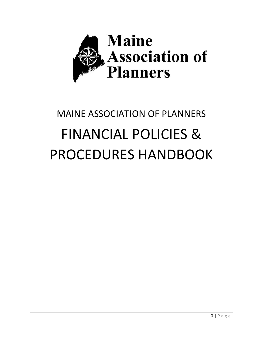

# MAINE ASSOCIATION OF PLANNERS FINANCIAL POLICIES & PROCEDURES HANDBOOK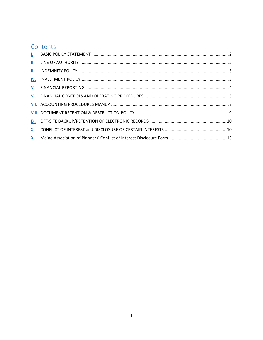## Contents

| II.       |  |
|-----------|--|
| III.      |  |
| IV.       |  |
|           |  |
|           |  |
|           |  |
|           |  |
|           |  |
| <b>X.</b> |  |
|           |  |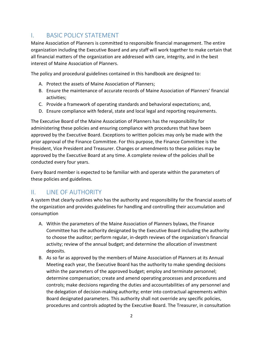## <span id="page-2-0"></span>I. BASIC POLICY STATEMENT

Maine Association of Planners is committed to responsible financial management. The entire organization including the Executive Board and any staff will work together to make certain that all financial matters of the organization are addressed with care, integrity, and in the best interest of Maine Association of Planners.

The policy and procedural guidelines contained in this handbook are designed to:

- A. Protect the assets of Maine Association of Planners;
- B. Ensure the maintenance of accurate records of Maine Association of Planners' financial activities;
- C. Provide a framework of operating standards and behavioral expectations; and,
- D. Ensure compliance with federal, state and local legal and reporting requirements.

The Executive Board of the Maine Association of Planners has the responsibility for administering these policies and ensuring compliance with procedures that have been approved by the Executive Board. Exceptions to written policies may only be made with the prior approval of the Finance Committee. For this purpose, the Finance Committee is the President, Vice President and Treasurer. Changes or amendments to these policies may be approved by the Executive Board at any time. A complete review of the policies shall be conducted every four years.

Every Board member is expected to be familiar with and operate within the parameters of these policies and guidelines.

## <span id="page-2-1"></span>II. **INE OF AUTHORITY**

A system that clearly outlines who has the authority and responsibility for the financial assets of the organization and provides guidelines for handling and controlling their accumulation and consumption

- A. Within the parameters of the Maine Association of Planners bylaws, the Finance Committee has the authority designated by the Executive Board including the authority to choose the auditor; perform regular, in-depth reviews of the organization's financial activity; review of the annual budget; and determine the allocation of investment deposits.
- B. As so far as approved by the members of Maine Association of Planners at its Annual Meeting each year, the Executive Board has the authority to make spending decisions within the parameters of the approved budget; employ and terminate personnel; determine compensation; create and amend operating processes and procedures and controls; make decisions regarding the duties and accountabilities of any personnel and the delegation of decision-making authority; enter into contractual agreements within Board designated parameters. This authority shall not override any specific policies, procedures and controls adopted by the Executive Board. The Treasurer, in consultation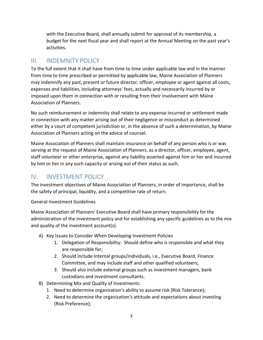with the Executive Board, shall annually submit for approval of its membership, a budget for the next fiscal year and shall report at the Annual Meeting on the past year's activities.

## <span id="page-3-0"></span>III. INDEMNITY POLICY

To the full extent that it shall have from time to time under applicable law and in the manner from time to time prescribed or permitted by applicable law, Maine Association of Planners may indemnify any past, present or future director, officer, employee or agent against all costs, expenses and liabilities, including attorneys' fees, actually and necessarily incurred by or imposed upon them in connection with or resulting from their involvement with Maine Association of Planners.

No such reimbursement or indemnity shall relate to any expense incurred or settlement made in connection with any matter arising out of their negligence or misconduct as determined either by a court of competent jurisdiction or, in the absence of such a determination, by Maine Association of Planners acting on the advice of counsel.

Maine Association of Planners shall maintain insurance on behalf of any person who is or was serving at the request of Maine Association of Planners, as a director, officer, employee, agent, staff volunteer or other enterprise, against any liability asserted against him or her and incurred by him or her in any such capacity or arising out of their status as such.

## <span id="page-3-1"></span>IV. INVESTMENT POLICY

The investment objectives of Maine Association of Planners, in order of importance, shall be the safety of principal, liquidity, and a competitive rate of return.

General Investment Guidelines

Maine Association of Planners' Executive Board shall have primary responsibility for the administration of the investment policy and for establishing any specific guidelines as to the mix and quality of the investment account(s).

- A) Key Issues to Consider When Developing Investment Policies
	- 1. Delegation of Responsibility: Should define who is responsible and what they are responsible for;
	- 2. Should include internal groups/individuals, i.e., Executive Board, Finance Committee, and may include staff and other qualified volunteers;
	- 3. Should also include external groups such as investment managers, bank custodians and investment consultants.
- B) Determining Mix and Quality of Investments:
	- 1. Need to determine organization's ability to assume risk (Risk Tolerance);
	- 2. Need to determine the organization's attitude and expectations about investing (Risk Preference);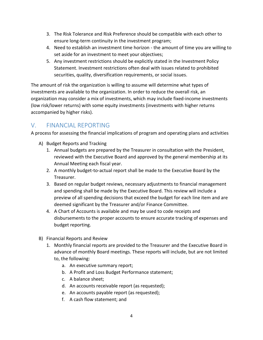- 3. The Risk Tolerance and Risk Preference should be compatible with each other to ensure long-term continuity in the investment program;
- 4. Need to establish an investment time horizon the amount of time you are willing to set aside for an investment to meet your objectives;
- 5. Any investment restrictions should be explicitly stated in the Investment Policy Statement. Investment restrictions often deal with issues related to prohibited securities, quality, diversification requirements, or social issues.

The amount of risk the organization is willing to assume will determine what types of investments are available to the organization. In order to reduce the overall risk, an organization may consider a mix of investments, which may include fixed-income investments (low risk/lower returns) with some equity investments (investments with higher returns accompanied by higher risks).

## <span id="page-4-0"></span>V. FINANCIAL REPORTING

A process for assessing the financial implications of program and operating plans and activities

- A) Budget Reports and Tracking
	- 1. Annual budgets are prepared by the Treasurer in consultation with the President, reviewed with the Executive Board and approved by the general membership at its Annual Meeting each fiscal year.
	- 2. A monthly budget-to-actual report shall be made to the Executive Board by the Treasurer.
	- 3. Based on regular budget reviews, necessary adjustments to financial management and spending shall be made by the Executive Board. This review will include a preview of all spending decisions that exceed the budget for each line item and are deemed significant by the Treasurer and/or Finance Committee.
	- 4. A Chart of Accounts is available and may be used to code receipts and disbursements to the proper accounts to ensure accurate tracking of expenses and budget reporting.
- B) Financial Reports and Review
	- 1. Monthly financial reports are provided to the Treasurer and the Executive Board in advance of monthly Board meetings. These reports will include, but are not limited to, the following:
		- a. An executive summary report;
		- b. A Profit and Loss Budget Performance statement;
		- c. A balance sheet;
		- d. An accounts receivable report (as requested);
		- e. An accounts payable report (as requested);
		- f. A cash flow statement; and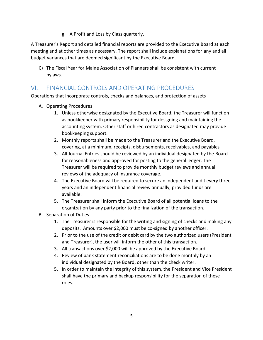g. A Profit and Loss by Class quarterly.

A Treasurer's Report and detailed financial reports are provided to the Executive Board at each meeting and at other times as necessary. The report shall include explanations for any and all budget variances that are deemed significant by the Executive Board.

C) The Fiscal Year for Maine Association of Planners shall be consistent with current bylaws.

## <span id="page-5-0"></span>VI. FINANCIAL CONTROLS AND OPERATING PROCEDURES

Operations that incorporate controls, checks and balances, and protection of assets

- A. Operating Procedures
	- 1. Unless otherwise designated by the Executive Board, the Treasurer will function as bookkeeper with primary responsibility for designing and maintaining the accounting system. Other staff or hired contractors as designated may provide bookkeeping support.
	- 2. Monthly reports shall be made to the Treasurer and the Executive Board, covering, at a minimum, receipts, disbursements, receivables, and payables
	- 3. All Journal Entries should be reviewed by an individual designated by the Board for reasonableness and approved for posting to the general ledger. The Treasurer will be required to provide monthly budget reviews and annual reviews of the adequacy of insurance coverage.
	- 4. The Executive Board will be required to secure an independent audit every three years and an independent financial review annually, provided funds are available.
	- 5. The Treasurer shall inform the Executive Board of all potential loans to the organization by any party prior to the finalization of the transaction.
- B. Separation of Duties
	- 1. The Treasurer is responsible for the writing and signing of checks and making any deposits. Amounts over \$2,000 must be co-signed by another officer.
	- 2. Prior to the use of the credit or debit card by the two authorized users (President and Treasurer), the user will inform the other of this transaction.
	- 3. All transactions over \$2,000 will be approved by the Executive Board.
	- 4. Review of bank statement reconciliations are to be done monthly by an individual designated by the Board, other than the check writer.
	- 5. In order to maintain the integrity of this system, the President and Vice President shall have the primary and backup responsibility for the separation of these roles.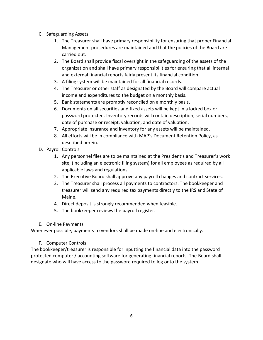- C. Safeguarding Assets
	- 1. The Treasurer shall have primary responsibility for ensuring that proper Financial Management procedures are maintained and that the policies of the Board are carried out.
	- 2. The Board shall provide fiscal oversight in the safeguarding of the assets of the organization and shall have primary responsibilities for ensuring that all internal and external financial reports fairly present its financial condition.
	- 3. A filing system will be maintained for all financial records.
	- 4. The Treasurer or other staff as designated by the Board will compare actual income and expenditures to the budget on a monthly basis.
	- 5. Bank statements are promptly reconciled on a monthly basis.
	- 6. Documents on all securities and fixed assets will be kept in a locked box or password protected. Inventory records will contain description, serial numbers, date of purchase or receipt, valuation, and date of valuation.
	- 7. Appropriate insurance and inventory for any assets will be maintained.
	- 8. All efforts will be in compliance with MAP's Document Retention Policy, as described herein.
- D. Payroll Controls
	- 1. Any personnel files are to be maintained at the President's and Treasurer's work site, (including an electronic filing system) for all employees as required by all applicable laws and regulations.
	- 2. The Executive Board shall approve any payroll changes and contract services.
	- 3. The Treasurer shall process all payments to contractors. The bookkeeper and treasurer will send any required tax payments directly to the IRS and State of Maine.
	- 4. Direct deposit is strongly recommended when feasible.
	- 5. The bookkeeper reviews the payroll register.
- E. On-line Payments

Whenever possible, payments to vendors shall be made on-line and electronically.

#### F. Computer Controls

The bookkeeper/treasurer is responsible for inputting the financial data into the password protected computer / accounting software for generating financial reports. The Board shall designate who will have access to the password required to log onto the system.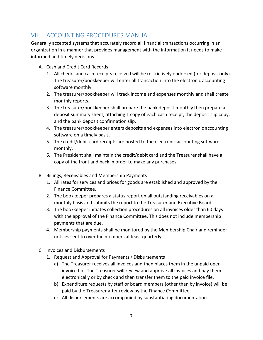## <span id="page-7-0"></span>VII. ACCOUNTING PROCEDURES MANUAL

Generally accepted systems that accurately record all financial transactions occurring in an organization in a manner that provides management with the information it needs to make informed and timely decisions

- A. Cash and Credit Card Records
	- 1. All checks and cash receipts received will be restrictively endorsed (for deposit only). The treasurer/bookkeeper will enter all transaction into the electronic accounting software monthly.
	- 2. The treasurer/bookkeeper will track income and expenses monthly and shall create monthly reports.
	- 3. The treasurer/bookkeeper shall prepare the bank deposit monthly then prepare a deposit summary sheet, attaching 1 copy of each cash receipt, the deposit slip copy, and the bank deposit confirmation slip.
	- 4. The treasurer/bookkeeper enters deposits and expenses into electronic accounting software on a timely basis.
	- 5. The credit/debit card receipts are posted to the electronic accounting software monthly.
	- 6. The President shall maintain the credit/debit card and the Treasurer shall have a copy of the front and back in order to make any purchases.
- B. Billings, Receivables and Membership Payments
	- 1. All rates for services and prices for goods are established and approved by the Finance Committee.
	- 2. The bookkeeper prepares a status report on all outstanding receivables on a monthly basis and submits the report to the Treasurer and Executive Board.
	- 3. The bookkeeper initiates collection procedures on all invoices older than 60 days with the approval of the Finance Committee. This does not include membership payments that are due.
	- 4. Membership payments shall be monitored by the Membership Chair and reminder notices sent to overdue members at least quarterly.
- C. Invoices and Disbursements
	- 1. Request and Approval for Payments / Disbursements
		- a) The Treasurer receives all invoices and then places them in the unpaid open invoice file. The Treasurer will review and approve all invoices and pay them electronically or by check and then transfer them to the paid invoice file.
		- b) Expenditure requests by staff or board members (other than by invoice) will be paid by the Treasurer after review by the Finance Committee.
		- c) All disbursements are accompanied by substantiating documentation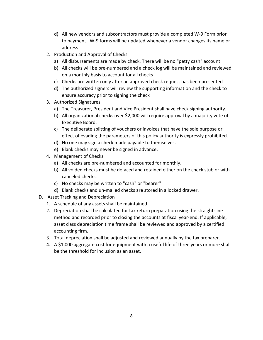- d) All new vendors and subcontractors must provide a completed W-9 Form prior to payment. W-9 forms will be updated whenever a vendor changes its name or address
- 2. Production and Approval of Checks
	- a) All disbursements are made by check. There will be no "petty cash" account
	- b) All checks will be pre-numbered and a check log will be maintained and reviewed on a monthly basis to account for all checks
	- c) Checks are written only after an approved check request has been presented
	- d) The authorized signers will review the supporting information and the check to ensure accuracy prior to signing the check
- 3. Authorized Signatures
	- a) The Treasurer, President and Vice President shall have check signing authority.
	- b) All organizational checks over \$2,000 will require approval by a majority vote of Executive Board.
	- c) The deliberate splitting of vouchers or invoices that have the sole purpose or effect of evading the parameters of this policy authority is expressly prohibited.
	- d) No one may sign a check made payable to themselves.
	- e) Blank checks may never be signed in advance.
- 4. Management of Checks
	- a) All checks are pre-numbered and accounted for monthly.
	- b) All voided checks must be defaced and retained either on the check stub or with canceled checks.
	- c) No checks may be written to "cash" or "bearer".
	- d) Blank checks and un-mailed checks are stored in a locked drawer.
- D. Asset Tracking and Depreciation
	- 1. A schedule of any assets shall be maintained.
	- 2. Depreciation shall be calculated for tax return preparation using the straight-line method and recorded prior to closing the accounts at fiscal year-end. If applicable, asset class depreciation time frame shall be reviewed and approved by a certified accounting firm.
	- 3. Total depreciation shall be adjusted and reviewed annually by the tax preparer.
	- 4. A \$1,000 aggregate cost for equipment with a useful life of three years or more shall be the threshold for inclusion as an asset.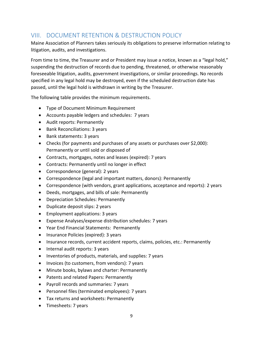## <span id="page-9-0"></span>VIII. DOCUMENT RETENTION & DESTRUCTION POLICY

Maine Association of Planners takes seriously its obligations to preserve information relating to litigation, audits, and investigations.

From time to time, the Treasurer and or President may issue a notice, known as a "legal hold," suspending the destruction of records due to pending, threatened, or otherwise reasonably foreseeable litigation, audits, government investigations, or similar proceedings. No records specified in any legal hold may be destroyed, even if the scheduled destruction date has passed, until the legal hold is withdrawn in writing by the Treasurer.

The following table provides the minimum requirements.

- Type of Document Minimum Requirement
- Accounts payable ledgers and schedules: 7 years
- Audit reports: Permanently
- Bank Reconciliations: 3 years
- Bank statements: 3 years
- Checks (for payments and purchases of any assets or purchases over \$2,000): Permanently or until sold or disposed of
- Contracts, mortgages, notes and leases (expired): 7 years
- Contracts: Permanently until no longer in effect
- Correspondence (general): 2 years
- Correspondence (legal and important matters, donors): Permanently
- Correspondence (with vendors, grant applications, acceptance and reports): 2 years
- Deeds, mortgages, and bills of sale: Permanently
- Depreciation Schedules: Permanently
- Duplicate deposit slips: 2 years
- Employment applications: 3 years
- Expense Analyses/expense distribution schedules: 7 years
- Year End Financial Statements: Permanently
- Insurance Policies (expired): 3 years
- Insurance records, current accident reports, claims, policies, etc.: Permanently
- Internal audit reports: 3 years
- Inventories of products, materials, and supplies: 7 years
- Invoices (to customers, from vendors): 7 years
- Minute books, bylaws and charter: Permanently
- Patents and related Papers: Permanently
- Payroll records and summaries: 7 years
- Personnel files (terminated employees): 7 years
- Tax returns and worksheets: Permanently
- Timesheets: 7 years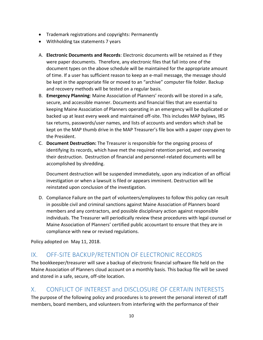- Trademark registrations and copyrights: Permanently
- Withholding tax statements 7 years
- A. **Electronic Documents and Records**: Electronic documents will be retained as if they were paper documents. Therefore, any electronic files that fall into one of the document types on the above schedule will be maintained for the appropriate amount of time. If a user has sufficient reason to keep an e-mail message, the message should be kept in the appropriate file or moved to an "archive" computer file folder. Backup and recovery methods will be tested on a regular basis.
- B. **Emergency Planning**: Maine Association of Planners' records will be stored in a safe, secure, and accessible manner. Documents and financial files that are essential to keeping Maine Association of Planners operating in an emergency will be duplicated or backed up at least every week and maintained off-site. This includes MAP bylaws, IRS tax returns, passwords/user names, and lists of accounts and vendors which shall be kept on the MAP thumb drive in the MAP Treasurer's file box with a paper copy given to the President.
- C. **Document Destruction:** The Treasurer is responsible for the ongoing process of identifying its records, which have met the required retention period, and overseeing their destruction. Destruction of financial and personnel-related documents will be accomplished by shredding.

Document destruction will be suspended immediately, upon any indication of an official investigation or when a lawsuit is filed or appears imminent. Destruction will be reinstated upon conclusion of the investigation.

D. Compliance Failure on the part of volunteers/employees to follow this policy can result in possible civil and criminal sanctions against Maine Association of Planners board members and any contractors, and possible disciplinary action against responsible individuals. The Treasurer will periodically review these procedures with legal counsel or Maine Association of Planners' certified public accountant to ensure that they are in compliance with new or revised regulations.

Policy adopted on May 11, 2018.

## <span id="page-10-0"></span>IX. OFF-SITE BACKUP/RETENTION OF ELECTRONIC RECORDS

The bookkeeper/treasurer will save a backup of electronic financial software file held on the Maine Association of Planners cloud account on a monthly basis. This backup file will be saved and stored in a safe, secure, off-site location.

## <span id="page-10-1"></span>X. CONFLICT OF INTEREST and DISCLOSURE OF CERTAIN INTERESTS

The purpose of the following policy and procedures is to prevent the personal interest of staff members, board members, and volunteers from interfering with the performance of their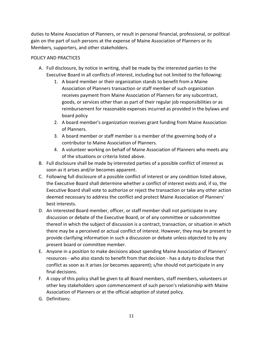duties to Maine Association of Planners, or result in personal financial, professional, or political gain on the part of such persons at the expense of Maine Association of Planners or its Members, supporters, and other stakeholders.

#### POLICY AND PRACTICES

- A. Full disclosure, by notice in writing, shall be made by the interested parties to the Executive Board in all conflicts of interest, including but not limited to the following:
	- 1. A board member or their organization stands to benefit from a Maine Association of Planners transaction or staff member of such organization receives payment from Maine Association of Planners for any subcontract, goods, or services other than as part of their regular job responsibilities or as reimbursement for reasonable expenses incurred as provided in the bylaws and board policy
	- 2. A board member's organization receives grant funding from Maine Association of Planners.
	- 3. A board member or staff member is a member of the governing body of a contributor to Maine Association of Planners.
	- 4. A volunteer working on behalf of Maine Association of Planners who meets any of the situations or criteria listed above.
- B. Full disclosure shall be made by interested parties of a possible conflict of interest as soon as it arises and/or becomes apparent.
- C. Following full disclosure of a possible conflict of interest or any condition listed above, the Executive Board shall determine whether a conflict of interest exists and, if so, the Executive Board shall vote to authorize or reject the transaction or take any other action deemed necessary to address the conflict and protect Maine Association of Planners' best interests.
- D. An interested Board member, officer, or staff member shall not participate in any discussion or debate of the Executive Board, or of any committee or subcommittee thereof in which the subject of discussion is a contract, transaction, or situation in which there may be a perceived or actual conflict of interest. However, they may be present to provide clarifying information in such a discussion or debate unless objected to by any present board or committee member.
- E. Anyone in a position to make decisions about spending Maine Association of Planners' resources - who also stands to benefit from that decision - has a duty to disclose that conflict as soon as it arises (or becomes apparent); s/he should not participate in any final decisions.
- F. A copy of this policy shall be given to all Board members, staff members, volunteers or other key stakeholders upon commencement of such person's relationship with Maine Association of Planners or at the official adoption of stated policy.
- G. Definitions: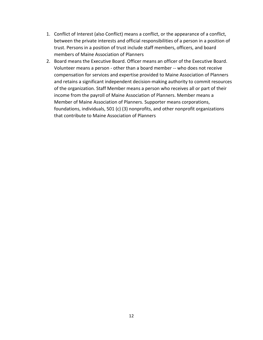- 1. Conflict of Interest (also Conflict) means a conflict, or the appearance of a conflict, between the private interests and official responsibilities of a person in a position of trust. Persons in a position of trust include staff members, officers, and board members of Maine Association of Planners
- 2. Board means the Executive Board. Officer means an officer of the Executive Board. Volunteer means a person - other than a board member -- who does not receive compensation for services and expertise provided to Maine Association of Planners and retains a significant independent decision-making authority to commit resources of the organization. Staff Member means a person who receives all or part of their income from the payroll of Maine Association of Planners. Member means a Member of Maine Association of Planners. Supporter means corporations, foundations, individuals, 501 (c) (3) nonprofits, and other nonprofit organizations that contribute to Maine Association of Planners